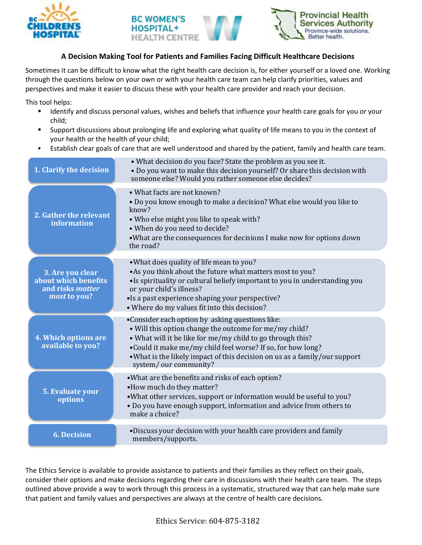





## **A Decision Making Tool for Patients and Families Facing Difficult Healthcare Decisions**

Sometimes it can be difficult to know what the right health care decision is, for either yourself or a loved one. Working through the questions below on your own or with your health care team can help clarify priorities, values and perspectives and make it easier to discuss these with your health care provider and reach your decision.

This tool helps:

- **If all identify and discuss personal values, wishes and beliefs that influence your health care goals for you or your** child;
- Support discussions about prolonging life and exploring what quality of life means to you in the context of your health or the health of your child;
- Establish clear goals of care that are well understood and shared by the patient, family and health care team.

| 1. Clarify the decision                                                             | • What decision do you face? State the problem as you see it.<br>• Do you want to make this decision yourself? Or share this decision with<br>someone else? Would you rather someone else decides?                                                                                                                                            |
|-------------------------------------------------------------------------------------|-----------------------------------------------------------------------------------------------------------------------------------------------------------------------------------------------------------------------------------------------------------------------------------------------------------------------------------------------|
| 2. Gather the relevant<br>information                                               | • What facts are not known?<br>. Do you know enough to make a decision? What else would you like to<br>know?<br>. Who else might you like to speak with?<br>• When do you need to decide?<br>. What are the consequences for decisions I make now for options down<br>the road?                                                               |
| 3. Are you clear<br>about which benefits<br>and risks <i>matter</i><br>most to you? | • What does quality of life mean to you?<br>• As you think about the future what matters most to you?<br>• Is spirituality or cultural beliefy important to you in understanding you<br>or your child's illness?<br>•Is a past experience shaping your perspective?<br>• Where do my values fit into this decision?                           |
| 4. Which options are<br>available to you?                                           | •Consider each option by asking questions like:<br>• Will this option change the outcome for me/my child?<br>• What will it be like for me/my child to go through this?<br>•Could it make me/my child feel worse? If so, for how long?<br>• What is the likely impact of this decision on us as a family/our support<br>system/our community? |
| 5. Evaluate your<br>options                                                         | • What are the benefits and risks of each option?<br>• How much do they matter?<br>• What other services, support or information would be useful to you?<br>• Do you have enough support, information and advice from others to<br>make a choice?                                                                                             |
| <b>6. Decision</b>                                                                  | •Discuss your decision with your health care providers and family<br>members/supports.                                                                                                                                                                                                                                                        |

The Ethics Service is available to provide assistance to patients and their families as they reflect on their goals, consider their options and make decisions regarding their care in discussions with their health care team. The steps outlined above provide a way to work through this process in a systematic, structured way that can help make sure that patient and family values and perspectives are always at the centre of health care decisions.